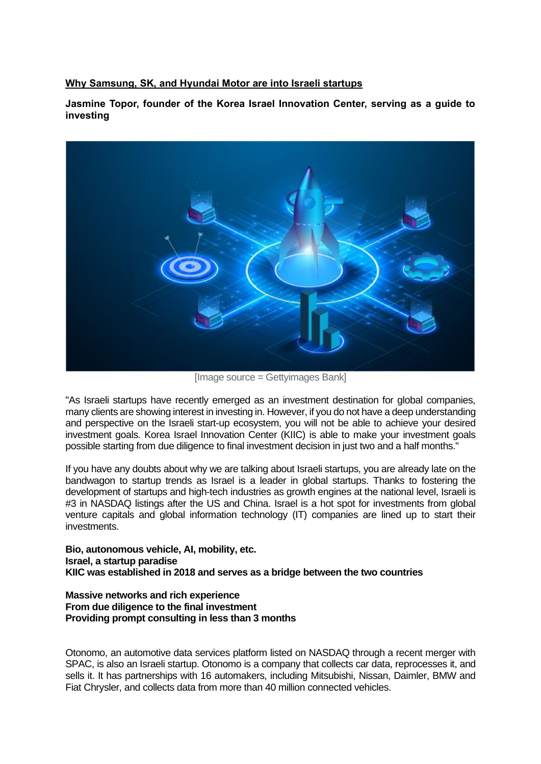## **Why Samsung, SK, and Hyundai Motor are into Israeli startups**

**Jasmine Topor, founder of the Korea Israel Innovation Center, serving as a guide to investing**



[Image source = Gettyimages Bank]

"As Israeli startups have recently emerged as an investment destination for global companies, many clients are showing interest in investing in. However, if you do not have a deep understanding and perspective on the Israeli start-up ecosystem, you will not be able to achieve your desired investment goals. Korea Israel Innovation Center (KIIC) is able to make your investment goals possible starting from due diligence to final investment decision in just two and a half months."

If you have any doubts about why we are talking about Israeli startups, you are already late on the bandwagon to startup trends as Israel is a leader in global startups. Thanks to fostering the development of startups and high-tech industries as growth engines at the national level, Israeli is #3 in NASDAQ listings after the US and China. Israel is a hot spot for investments from global venture capitals and global information technology (IT) companies are lined up to start their investments.

**Bio, autonomous vehicle, AI, mobility, etc. Israel, a startup paradise KIIC was established in 2018 and serves as a bridge between the two countries** 

## **Massive networks and rich experience From due diligence to the final investment Providing prompt consulting in less than 3 months**

Otonomo, an automotive data services platform listed on NASDAQ through a recent merger with SPAC, is also an Israeli startup. Otonomo is a company that collects car data, reprocesses it, and sells it. It has partnerships with 16 automakers, including Mitsubishi, Nissan, Daimler, BMW and Fiat Chrysler, and collects data from more than 40 million connected vehicles.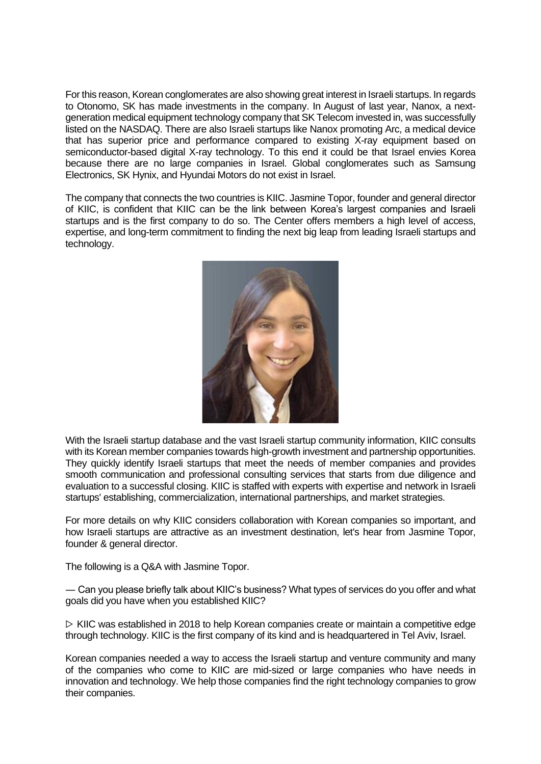For this reason, Korean conglomerates are also showing great interest in Israeli startups. In regards to Otonomo, SK has made investments in the company. In August of last year, Nanox, a nextgeneration medical equipment technology company that SK Telecom invested in, was successfully listed on the NASDAQ. There are also Israeli startups like Nanox promoting Arc, a medical device that has superior price and performance compared to existing X-ray equipment based on semiconductor-based digital X-ray technology. To this end it could be that Israel envies Korea because there are no large companies in Israel. Global conglomerates such as Samsung Electronics, SK Hynix, and Hyundai Motors do not exist in Israel.

The company that connects the two countries is KIIC. Jasmine Topor, founder and general director of KIIC, is confident that KIIC can be the link between Korea's largest companies and Israeli startups and is the first company to do so. The Center offers members a high level of access, expertise, and long-term commitment to finding the next big leap from leading Israeli startups and technology.



With the Israeli startup database and the vast Israeli startup community information, KIIC consults with its Korean member companies towards high-growth investment and partnership opportunities. They quickly identify Israeli startups that meet the needs of member companies and provides smooth communication and professional consulting services that starts from due diligence and evaluation to a successful closing. KIIC is staffed with experts with expertise and network in Israeli startups' establishing, commercialization, international partnerships, and market strategies.

For more details on why KIIC considers collaboration with Korean companies so important, and how Israeli startups are attractive as an investment destination, let's hear from Jasmine Topor, founder & general director.

The following is a Q&A with Jasmine Topor.

― Can you please briefly talk about KIIC's business? What types of services do you offer and what goals did you have when you established KIIC?

 $\triangleright$  KIIC was established in 2018 to help Korean companies create or maintain a competitive edge through technology. KIIC is the first company of its kind and is headquartered in Tel Aviv, Israel.

Korean companies needed a way to access the Israeli startup and venture community and many of the companies who come to KIIC are mid-sized or large companies who have needs in innovation and technology. We help those companies find the right technology companies to grow their companies.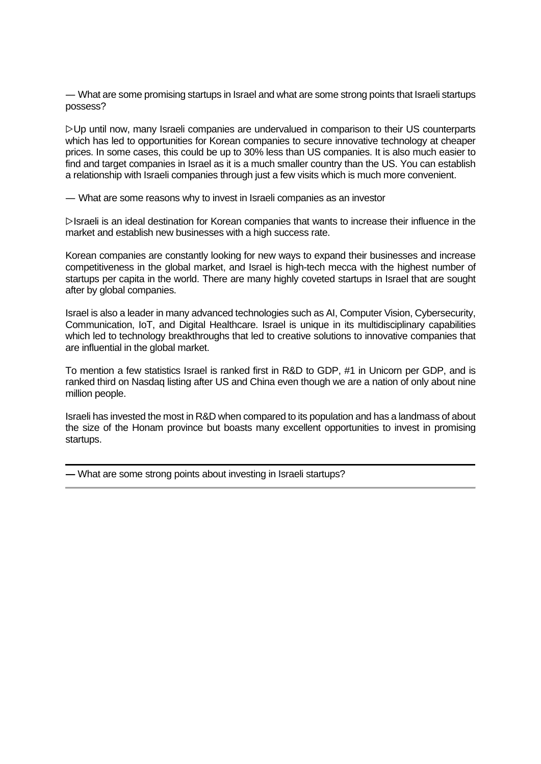― What are some promising startups in Israel and what are some strong points that Israeli startups possess?

▷Up until now, many Israeli companies are undervalued in comparison to their US counterparts which has led to opportunities for Korean companies to secure innovative technology at cheaper prices. In some cases, this could be up to 30% less than US companies. It is also much easier to find and target companies in Israel as it is a much smaller country than the US. You can establish a relationship with Israeli companies through just a few visits which is much more convenient.

― What are some reasons why to invest in Israeli companies as an investor

▷Israeli is an ideal destination for Korean companies that wants to increase their influence in the market and establish new businesses with a high success rate.

Korean companies are constantly looking for new ways to expand their businesses and increase competitiveness in the global market, and Israel is high-tech mecca with the highest number of startups per capita in the world. There are many highly coveted startups in Israel that are sought after by global companies.

Israel is also a leader in many advanced technologies such as AI, Computer Vision, Cybersecurity, Communication, IoT, and Digital Healthcare. Israel is unique in its multidisciplinary capabilities which led to technology breakthroughs that led to creative solutions to innovative companies that are influential in the global market.

To mention a few statistics Israel is ranked first in R&D to GDP, #1 in Unicorn per GDP, and is ranked third on Nasdaq listing after US and China even though we are a nation of only about nine million people.

Israeli has invested the most in R&D when compared to its population and has a landmass of about the size of the Honam province but boasts many excellent opportunities to invest in promising startups.

**―** What are some strong points about investing in Israeli startups?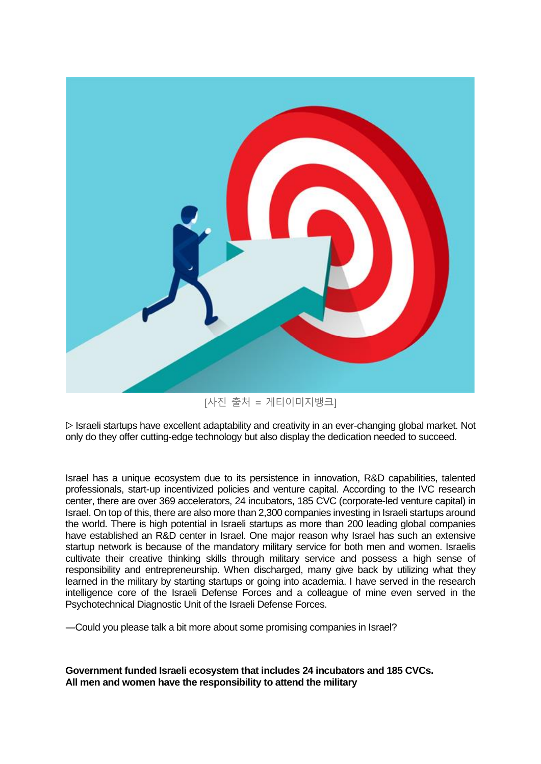

[사진 출처 = 게티이미지뱅크]

 $\triangleright$  Israeli startups have excellent adaptability and creativity in an ever-changing global market. Not only do they offer cutting-edge technology but also display the dedication needed to succeed.

Israel has a unique ecosystem due to its persistence in innovation, R&D capabilities, talented professionals, start-up incentivized policies and venture capital. According to the IVC research center, there are over 369 accelerators, 24 incubators, 185 CVC (corporate-led venture capital) in Israel. On top of this, there are also more than 2,300 companies investing in Israeli startups around the world. There is high potential in Israeli startups as more than 200 leading global companies have established an R&D center in Israel. One major reason why Israel has such an extensive startup network is because of the mandatory military service for both men and women. Israelis cultivate their creative thinking skills through military service and possess a high sense of responsibility and entrepreneurship. When discharged, many give back by utilizing what they learned in the military by starting startups or going into academia. I have served in the research intelligence core of the Israeli Defense Forces and a colleague of mine even served in the Psychotechnical Diagnostic Unit of the Israeli Defense Forces.

―Could you please talk a bit more about some promising companies in Israel?

**Government funded Israeli ecosystem that includes 24 incubators and 185 CVCs. All men and women have the responsibility to attend the military**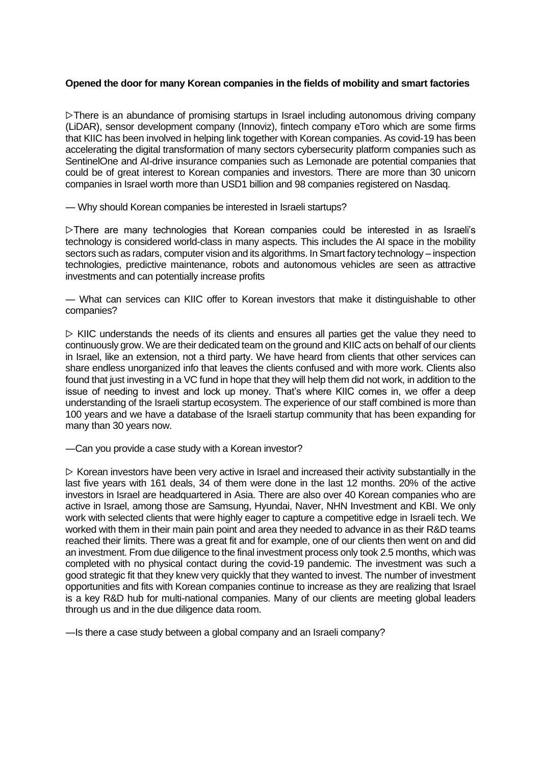## **Opened the door for many Korean companies in the fields of mobility and smart factories**

▷There is an abundance of promising startups in Israel including autonomous driving company (LiDAR), sensor development company (Innoviz), fintech company eToro which are some firms that KIIC has been involved in helping link together with Korean companies. As covid-19 has been accelerating the digital transformation of many sectors cybersecurity platform companies such as SentinelOne and AI-drive insurance companies such as Lemonade are potential companies that could be of great interest to Korean companies and investors. There are more than 30 unicorn companies in Israel worth more than USD1 billion and 98 companies registered on Nasdaq.

― Why should Korean companies be interested in Israeli startups?

▷There are many technologies that Korean companies could be interested in as Israeli's technology is considered world-class in many aspects. This includes the AI space in the mobility sectors such as radars, computer vision and its algorithms. In Smart factory technology – inspection technologies, predictive maintenance, robots and autonomous vehicles are seen as attractive investments and can potentially increase profits

― What can services can KIIC offer to Korean investors that make it distinguishable to other companies?

 $\triangleright$  KIIC understands the needs of its clients and ensures all parties get the value they need to continuously grow. We are their dedicated team on the ground and KIIC acts on behalf of our clients in Israel, like an extension, not a third party. We have heard from clients that other services can share endless unorganized info that leaves the clients confused and with more work. Clients also found that just investing in a VC fund in hope that they will help them did not work, in addition to the issue of needing to invest and lock up money. That's where KIIC comes in, we offer a deep understanding of the Israeli startup ecosystem. The experience of our staff combined is more than 100 years and we have a database of the Israeli startup community that has been expanding for many than 30 years now.

―Can you provide a case study with a Korean investor?

 $\triangleright$  Korean investors have been very active in Israel and increased their activity substantially in the last five years with 161 deals, 34 of them were done in the last 12 months. 20% of the active investors in Israel are headquartered in Asia. There are also over 40 Korean companies who are active in Israel, among those are Samsung, Hyundai, Naver, NHN Investment and KBI. We only work with selected clients that were highly eager to capture a competitive edge in Israeli tech. We worked with them in their main pain point and area they needed to advance in as their R&D teams reached their limits. There was a great fit and for example, one of our clients then went on and did an investment. From due diligence to the final investment process only took 2.5 months, which was completed with no physical contact during the covid-19 pandemic. The investment was such a good strategic fit that they knew very quickly that they wanted to invest. The number of investment opportunities and fits with Korean companies continue to increase as they are realizing that Israel is a key R&D hub for multi-national companies. Many of our clients are meeting global leaders through us and in the due diligence data room.

―Is there a case study between a global company and an Israeli company?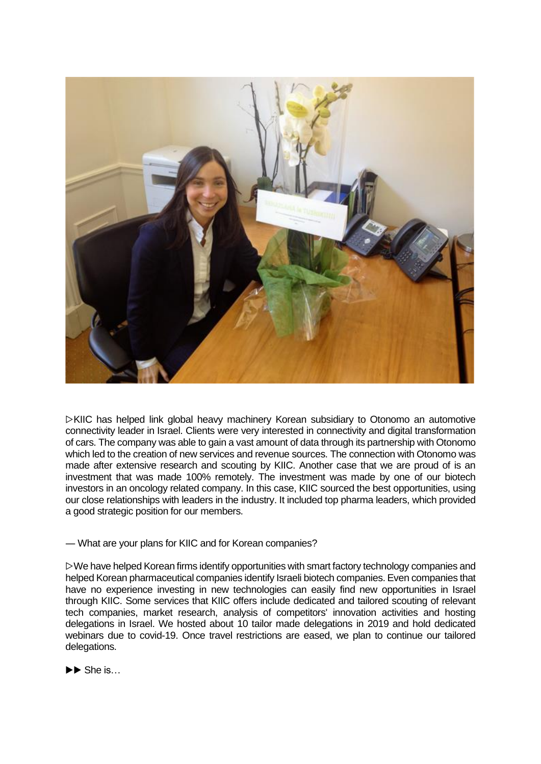

▷KIIC has helped link global heavy machinery Korean subsidiary to Otonomo an automotive connectivity leader in Israel. Clients were very interested in connectivity and digital transformation of cars. The company was able to gain a vast amount of data through its partnership with Otonomo which led to the creation of new services and revenue sources. The connection with Otonomo was made after extensive research and scouting by KIIC. Another case that we are proud of is an investment that was made 100% remotely. The investment was made by one of our biotech investors in an oncology related company. In this case, KIIC sourced the best opportunities, using our close relationships with leaders in the industry. It included top pharma leaders, which provided a good strategic position for our members.

― What are your plans for KIIC and for Korean companies?

▷We have helped Korean firms identify opportunities with smart factory technology companies and helped Korean pharmaceutical companies identify Israeli biotech companies. Even companies that have no experience investing in new technologies can easily find new opportunities in Israel through KIIC. Some services that KIIC offers include dedicated and tailored scouting of relevant tech companies, market research, analysis of competitors' innovation activities and hosting delegations in Israel. We hosted about 10 tailor made delegations in 2019 and hold dedicated webinars due to covid-19. Once travel restrictions are eased, we plan to continue our tailored delegations.